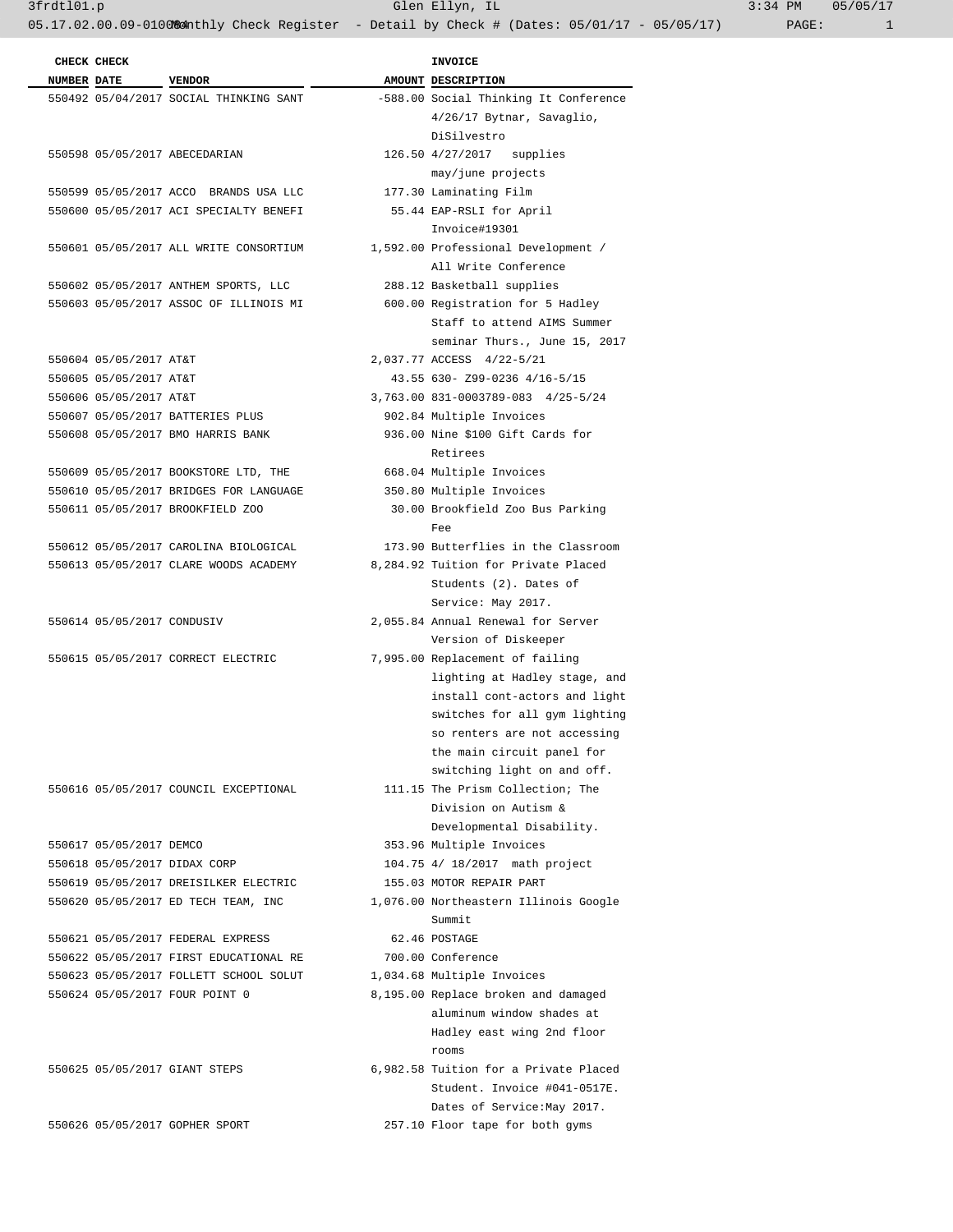INVOICE  **NUMBER DATE VENDOR AMOUNT DESCRIPTION** 

 DiSilvestro 126.50 4/27/2017 supplies may/june projects

177.30 Laminating Film 55.44 EAP-RSLI for April Invoice#19301 1,592.00 Professional Development / All Write Conference

288.12 Basketball supplies 600.00 Registration for 5 Hadley

550604 05/05/2017 AT&T 2,037.77 ACCESS 4/22-5/21

 550609 05/05/2017 BOOKSTORE LTD, THE 668.04 Multiple Invoices 350.80 Multiple Invoices

 550605 05/05/2017 AT&T 43.55 630- Z99-0236 4/16-5/15 550606 05/05/2017 AT&T 3,763.00 831-0003789-083 4/25-5/24 902.84 Multiple Invoices 936.00 Nine \$100 Gift Cards for

550611 05/05/2017 BROOKFIELD ZOO 30.00 Brookfield Zoo Bus Parking

173.90 Butterflies in the Classroom 8,284.92 Tuition for Private Placed Students (2). Dates of Service: May 2017. 2,055.84 Annual Renewal for Server Version of Diskeeper 7,995.00 Replacement of failing

> lighting at Hadley stage, and install cont-actors and light switches for all gym lighting so renters are not accessing the main circuit panel for switching light on and off.

111.15 The Prism Collection; The Division on Autism & Developmental Disability.

1,076.00 Northeastern Illinois Google

8,195.00 Replace broken and damaged

6,982.58 Tuition for a Private Placed

 aluminum window shades at Hadley east wing 2nd floor

 Student. Invoice #041-0517E. Dates of Service:May 2017.

353.96 Multiple Invoices 104.75 4/ 18/2017 math project 155.03 MOTOR REPAIR PART

62.46 POSTAGE 550622 05/05/2017 FIRST EDUCATIONAL RE 700.00 Conference 1,034.68 Multiple Invoices

550626 05/05/2017 GOPHER SPORT 257.10 Floor tape for both gyms

 Staff to attend AIMS Summer seminar Thurs., June 15, 2017

-588.00 Social Thinking It Conference 4/26/17 Bytnar, Savaglio,

3frdtl01.p Glen Ellyn, IL 3:34 PM 05/05/17

|  | CHECK CHECK                |                                        | <b>INVOICE</b>                |
|--|----------------------------|----------------------------------------|-------------------------------|
|  | NUMBER DATE VENDOR         |                                        | AMOUNT DESCRIPTI              |
|  |                            | 550492 05/04/2017 SOCIAL THINKING SANT | -588.00 Social Th             |
|  |                            |                                        | $4/26/17$ B                   |
|  |                            |                                        | DiSilvest<br>126.50 4/27/2017 |
|  |                            | 550598 05/05/2017 ABECEDARIAN          |                               |
|  |                            | 550599 05/05/2017 ACCO BRANDS USA LLC  | may/june<br>177.30 Laminatin  |
|  |                            | 550600 05/05/2017 ACI SPECIALTY BENEFI | 55.44 EAP-RSLI                |
|  |                            |                                        | Invoice#1                     |
|  |                            | 550601 05/05/2017 ALL WRITE CONSORTIUM | 1,592.00 Professio            |
|  |                            |                                        | All Write                     |
|  |                            | 550602 05/05/2017 ANTHEM SPORTS, LLC   | 288.12 Basketbal              |
|  |                            | 550603 05/05/2017 ASSOC OF ILLINOIS MI | 600.00 Registrat              |
|  |                            |                                        | Staff to                      |
|  |                            |                                        | seminar T                     |
|  | 550604 05/05/2017 AT&T     |                                        | 2,037.77 ACCESS 4             |
|  | 550605 05/05/2017 AT&T     |                                        | 43.55 630- Z99-               |
|  | 550606 05/05/2017 AT&T     |                                        | 3,763.00 831-00037            |
|  |                            | 550607 05/05/2017 BATTERIES PLUS       | 902.84 Multiple               |
|  |                            | 550608 05/05/2017 BMO HARRIS BANK      | 936.00 Nine \$100             |
|  |                            |                                        | Retirees                      |
|  |                            | 550609 05/05/2017 BOOKSTORE LTD, THE   | 668.04 Multiple               |
|  |                            | 550610 05/05/2017 BRIDGES FOR LANGUAGE | 350.80 Multiple               |
|  |                            | 550611 05/05/2017 BROOKFIELD ZOO       | 30.00 Brookfiel               |
|  |                            |                                        | Fee                           |
|  |                            | 550612 05/05/2017 CAROLINA BIOLOGICAL  | 173.90 Butterfli              |
|  |                            | 550613 05/05/2017 CLARE WOODS ACADEMY  | 8,284.92 Tuition f            |
|  |                            |                                        | Students                      |
|  |                            |                                        | Service:                      |
|  | 550614 05/05/2017 CONDUSIV |                                        | 2,055.84 Annual Re            |
|  |                            |                                        | Version o                     |
|  |                            | 550615 05/05/2017 CORRECT ELECTRIC     | 7,995.00 Replaceme            |
|  |                            |                                        | lighting                      |
|  |                            |                                        | install c                     |
|  |                            |                                        | switches                      |
|  |                            |                                        | so renter                     |
|  |                            |                                        | the main                      |
|  |                            |                                        | switching                     |
|  |                            | 550616 05/05/2017 COUNCIL EXCEPTIONAL  | 111.15 The Prism              |
|  |                            |                                        | Division                      |
|  |                            |                                        | Developme                     |
|  | 550617 05/05/2017 DEMCO    |                                        | 353.96 Multiple               |
|  |                            | 550618 05/05/2017 DIDAX CORP           | 104.75 4/ 18/201              |
|  |                            | 550619 05/05/2017 DREISILKER ELECTRIC  | 155.03 MOTOR REP              |
|  |                            | 550620 05/05/2017 ED TECH TEAM, INC    | 1,076.00 Northeast            |
|  |                            |                                        | Summit                        |
|  |                            | 550621 05/05/2017 FEDERAL EXPRESS      | 62.46 POSTAGE                 |
|  |                            | 550622 05/05/2017 FIRST EDUCATIONAL RE | 700.00 Conferenc              |
|  |                            | 550623 05/05/2017 FOLLETT SCHOOL SOLUT | 1,034.68 Multiple             |
|  |                            | 550624 05/05/2017 FOUR POINT 0         | 8,195.00 Replace b            |
|  |                            |                                        | aluminum                      |
|  |                            |                                        | Hadley ea                     |
|  |                            |                                        | rooms                         |
|  |                            | 550625 05/05/2017 GIANT STEPS          | 6,982.58 Tuition f            |
|  |                            |                                        | Student.                      |
|  |                            |                                        | Dates of                      |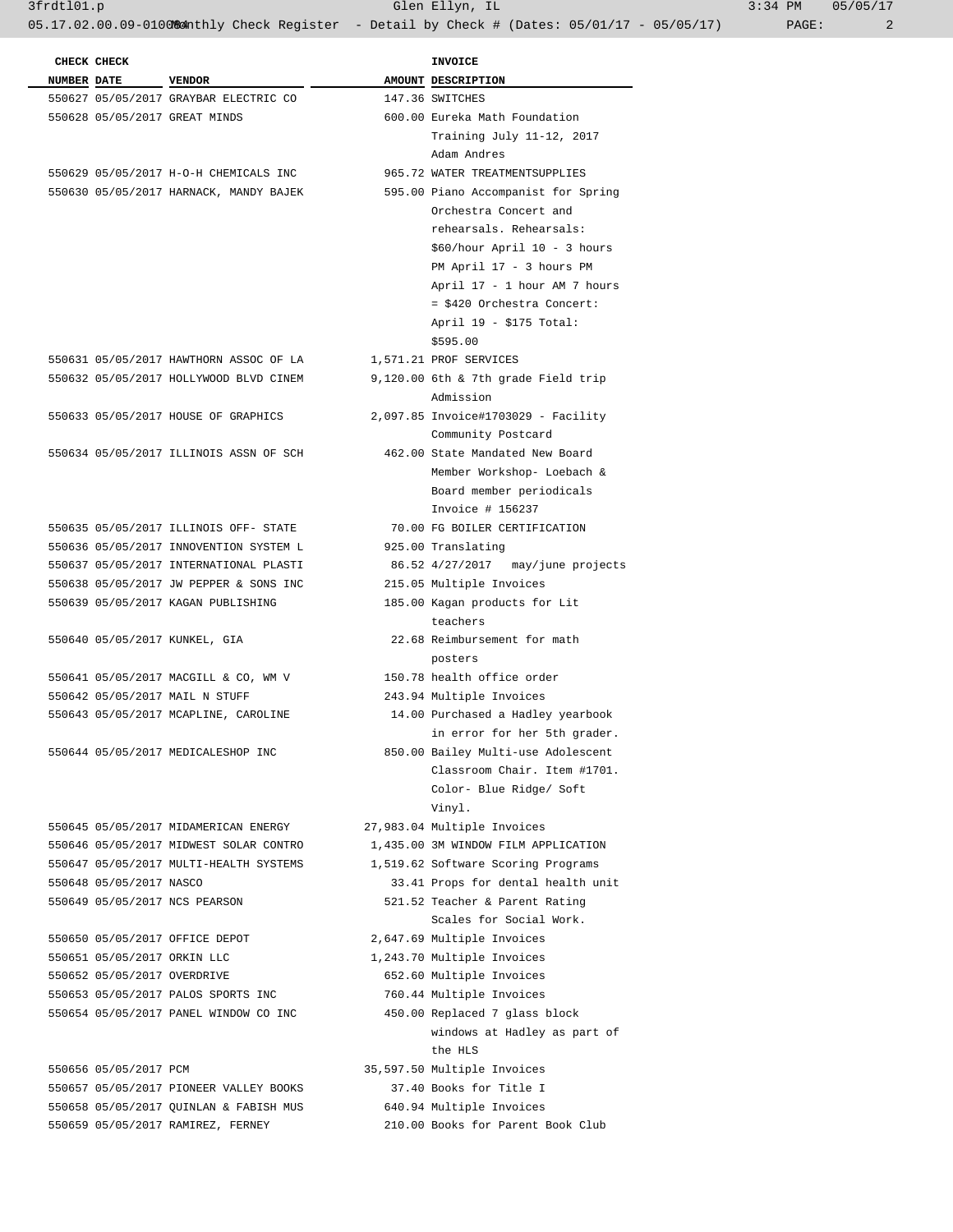3frdtl01.p Glen Ellyn, IL 3:34 PM 05/05/17

|  | CHECK CHECK                 |                                        | <b>INVOICE</b>                      |
|--|-----------------------------|----------------------------------------|-------------------------------------|
|  | NUMBER DATE VENDOR          |                                        | AMOUNT DESCRIPTION                  |
|  |                             | 550627 05/05/2017 GRAYBAR ELECTRIC CO  | 147.36 SWITCHES                     |
|  |                             | 550628 05/05/2017 GREAT MINDS          | 600.00 Eureka Math Foundation       |
|  |                             |                                        | Training July 11-12, 2017           |
|  |                             |                                        | Adam Andres                         |
|  |                             | 550629 05/05/2017 H-O-H CHEMICALS INC  | 965.72 WATER TREATMENTSUPPLIES      |
|  |                             | 550630 05/05/2017 HARNACK, MANDY BAJEK | 595.00 Piano Accompanist for Spring |
|  |                             |                                        | Orchestra Concert and               |
|  |                             |                                        | rehearsals. Rehearsals:             |
|  |                             |                                        | \$60/hour April 10 - 3 hours        |
|  |                             |                                        | PM April 17 - 3 hours PM            |
|  |                             |                                        | April 17 - 1 hour AM 7 hours        |
|  |                             |                                        | = \$420 Orchestra Concert:          |
|  |                             |                                        | April 19 - \$175 Total:             |
|  |                             |                                        | \$595.00                            |
|  |                             | 550631 05/05/2017 HAWTHORN ASSOC OF LA | 1,571.21 PROF SERVICES              |
|  |                             | 550632 05/05/2017 HOLLYWOOD BLVD CINEM | 9,120.00 6th & 7th grade Field trip |
|  |                             |                                        | Admission                           |
|  |                             | 550633 05/05/2017 HOUSE OF GRAPHICS    | 2,097.85 Invoice#1703029 - Facility |
|  |                             |                                        | Community Postcard                  |
|  |                             | 550634 05/05/2017 ILLINOIS ASSN OF SCH | 462.00 State Mandated New Board     |
|  |                             |                                        | Member Workshop- Loebach &          |
|  |                             |                                        | Board member periodicals            |
|  |                             |                                        | Invoice # 156237                    |
|  |                             | 550635 05/05/2017 ILLINOIS OFF- STATE  | 70.00 FG BOILER CERTIFICATION       |
|  |                             | 550636 05/05/2017 INNOVENTION SYSTEM L | 925.00 Translating                  |
|  |                             | 550637 05/05/2017 INTERNATIONAL PLASTI | 86.52 4/27/2017 may/june projects   |
|  |                             | 550638 05/05/2017 JW PEPPER & SONS INC | 215.05 Multiple Invoices            |
|  |                             | 550639 05/05/2017 KAGAN PUBLISHING     | 185.00 Kagan products for Lit       |
|  |                             |                                        | teachers                            |
|  |                             | 550640 05/05/2017 KUNKEL, GIA          | 22.68 Reimbursement for math        |
|  |                             |                                        | posters                             |
|  |                             | 550641 05/05/2017 MACGILL & CO, WM V   | 150.78 health office order          |
|  |                             | 550642 05/05/2017 MAIL N STUFF         | 243.94 Multiple Invoices            |
|  |                             | 550643 05/05/2017 MCAPLINE, CAROLINE   | 14.00 Purchased a Hadley yearbook   |
|  |                             |                                        | in error for her 5th grader.        |
|  |                             | 550644 05/05/2017 MEDICALESHOP INC     | 850.00 Bailey Multi-use Adolescent  |
|  |                             |                                        | Classroom Chair. Item #1701.        |
|  |                             |                                        | Color- Blue Ridge/ Soft             |
|  |                             |                                        | Vinyl.                              |
|  |                             | 550645 05/05/2017 MIDAMERICAN ENERGY   | 27,983.04 Multiple Invoices         |
|  |                             | 550646 05/05/2017 MIDWEST SOLAR CONTRO | 1,435.00 3M WINDOW FILM APPLICATION |
|  |                             | 550647 05/05/2017 MULTI-HEALTH SYSTEMS | 1,519.62 Software Scoring Programs  |
|  | 550648 05/05/2017 NASCO     |                                        | 33.41 Props for dental health unit  |
|  |                             | 550649 05/05/2017 NCS PEARSON          | 521.52 Teacher & Parent Rating      |
|  |                             |                                        | Scales for Social Work.             |
|  |                             | 550650 05/05/2017 OFFICE DEPOT         | 2,647.69 Multiple Invoices          |
|  | 550651 05/05/2017 ORKIN LLC |                                        | 1,243.70 Multiple Invoices          |
|  | 550652 05/05/2017 OVERDRIVE |                                        | 652.60 Multiple Invoices            |
|  |                             | 550653 05/05/2017 PALOS SPORTS INC     | 760.44 Multiple Invoices            |
|  |                             | 550654 05/05/2017 PANEL WINDOW CO INC  | 450.00 Replaced 7 glass block       |
|  |                             |                                        | windows at Hadley as part of        |
|  |                             |                                        | the HLS                             |
|  | 550656 05/05/2017 PCM       |                                        | 35,597.50 Multiple Invoices         |
|  |                             | 550657 05/05/2017 PIONEER VALLEY BOOKS | 37.40 Books for Title I             |
|  |                             | 550658 05/05/2017 QUINLAN & FABISH MUS | 640.94 Multiple Invoices            |
|  |                             |                                        |                                     |

550659 05/05/2017 RAMIREZ, FERNEY 210.00 Books for Parent Book Club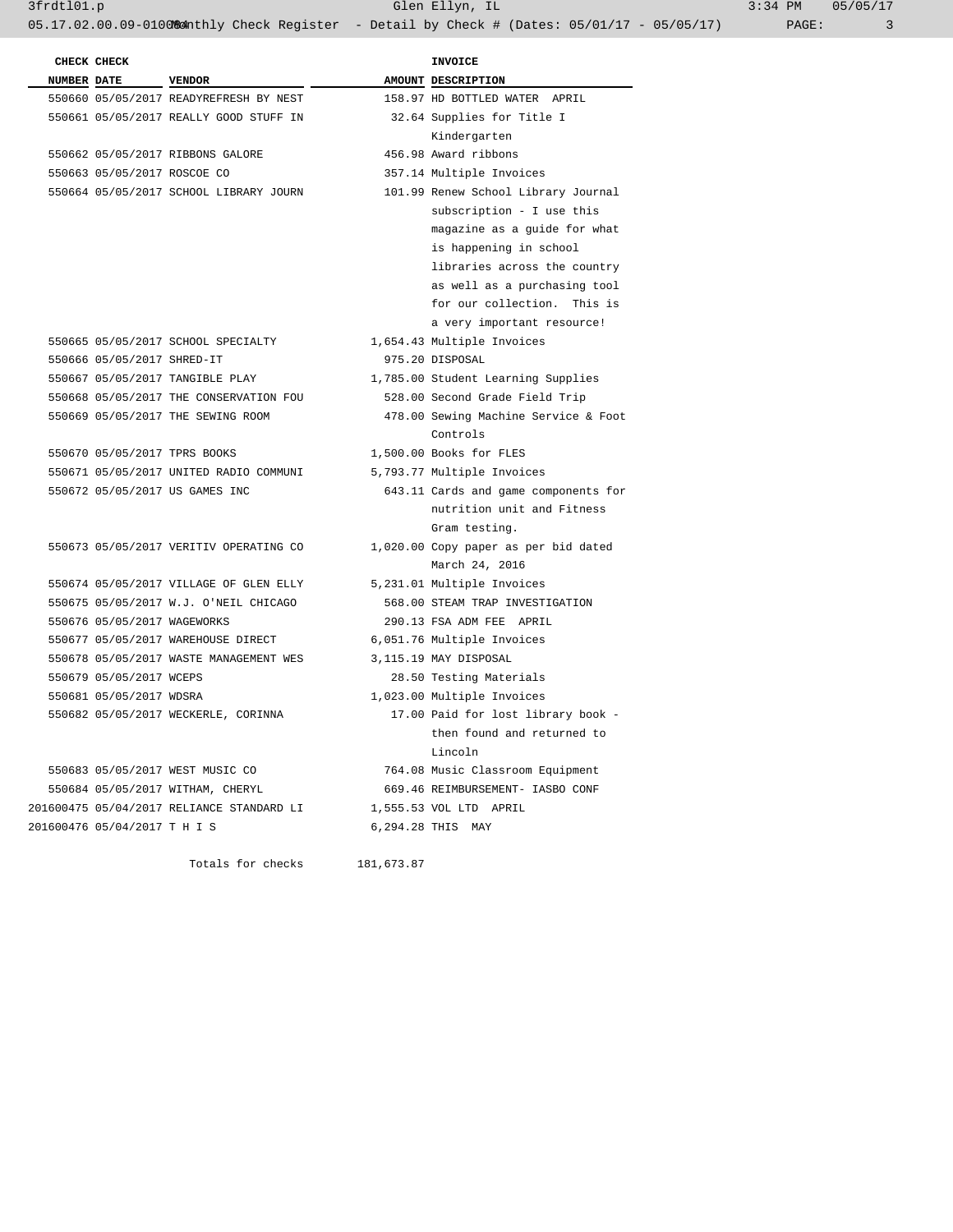3frdtl01.p Glen Ellyn, IL 3:34 PM 05/05/17 05.17.02.00.09-010084 hthly Check Register - Detail by Check # (Dates: 05/01/17 - 05/05/17) PAGE: 3

| CHECK CHECK                  |                                           |            | <b>INVOICE</b>                       |
|------------------------------|-------------------------------------------|------------|--------------------------------------|
| <b>NUMBER DATE</b>           | <b>VENDOR</b>                             |            | AMOUNT DESCRIPTION                   |
|                              | 550660 05/05/2017 READYREFRESH BY NEST    |            | 158.97 HD BOTTLED WATER APRIL        |
|                              | 550661 05/05/2017 REALLY GOOD STUFF IN    |            | 32.64 Supplies for Title I           |
|                              |                                           |            | Kindergarten                         |
|                              | 550662 05/05/2017 RIBBONS GALORE          |            | 456.98 Award ribbons                 |
| 550663 05/05/2017 ROSCOE CO  |                                           |            | 357.14 Multiple Invoices             |
|                              | 550664 05/05/2017 SCHOOL LIBRARY JOURN    |            | 101.99 Renew School Library Journal  |
|                              |                                           |            | subscription - I use this            |
|                              |                                           |            | magazine as a quide for what         |
|                              |                                           |            | is happening in school               |
|                              |                                           |            | libraries across the country         |
|                              |                                           |            | as well as a purchasing tool         |
|                              |                                           |            | for our collection. This is          |
|                              |                                           |            | a very important resource!           |
|                              | 550665 05/05/2017 SCHOOL SPECIALTY        |            | 1,654.43 Multiple Invoices           |
| 550666 05/05/2017 SHRED-IT   |                                           |            | 975.20 DISPOSAL                      |
|                              | 550667 05/05/2017 TANGIBLE PLAY           |            | 1,785.00 Student Learning Supplies   |
|                              | 550668 05/05/2017 THE CONSERVATION FOU    |            | 528.00 Second Grade Field Trip       |
|                              | 550669 05/05/2017 THE SEWING ROOM         |            | 478.00 Sewing Machine Service & Foot |
|                              |                                           |            | Controls                             |
| 550670 05/05/2017 TPRS BOOKS |                                           |            | 1,500.00 Books for FLES              |
|                              | 550671 05/05/2017 UNITED RADIO COMMUNI    |            | 5,793.77 Multiple Invoices           |
|                              | 550672 05/05/2017 US GAMES INC            |            | 643.11 Cards and game components for |
|                              |                                           |            | nutrition unit and Fitness           |
|                              |                                           |            | Gram testing.                        |
|                              | 550673 05/05/2017 VERITIV OPERATING CO    |            | 1,020.00 Copy paper as per bid dated |
|                              |                                           |            | March 24, 2016                       |
|                              | 550674 05/05/2017 VILLAGE OF GLEN ELLY    |            | 5,231.01 Multiple Invoices           |
|                              | 550675 05/05/2017 W.J. O'NEIL CHICAGO     |            | 568.00 STEAM TRAP INVESTIGATION      |
| 550676 05/05/2017 WAGEWORKS  |                                           |            | 290.13 FSA ADM FEE APRIL             |
|                              | 550677 05/05/2017 WAREHOUSE DIRECT        |            | 6,051.76 Multiple Invoices           |
|                              | 550678 05/05/2017 WASTE MANAGEMENT WES    |            | 3,115.19 MAY DISPOSAL                |
| 550679 05/05/2017 WCEPS      |                                           |            | 28.50 Testing Materials              |
| 550681 05/05/2017 WDSRA      |                                           |            | 1,023.00 Multiple Invoices           |
|                              | 550682 05/05/2017 WECKERLE, CORINNA       |            | 17.00 Paid for lost library book -   |
|                              |                                           |            | then found and returned to           |
|                              |                                           |            | Lincoln                              |
|                              | 550683 05/05/2017 WEST MUSIC CO           |            | 764.08 Music Classroom Equipment     |
|                              | 550684 05/05/2017 WITHAM, CHERYL          |            | 669.46 REIMBURSEMENT- IASBO CONF     |
|                              | 201600475 05/04/2017 RELIANCE STANDARD LI |            | 1,555.53 VOL LTD APRIL               |
| 201600476 05/04/2017 T H I S |                                           |            | 6,294.28 THIS MAY                    |
|                              |                                           |            |                                      |
|                              | Totals for checks                         | 181,673.87 |                                      |